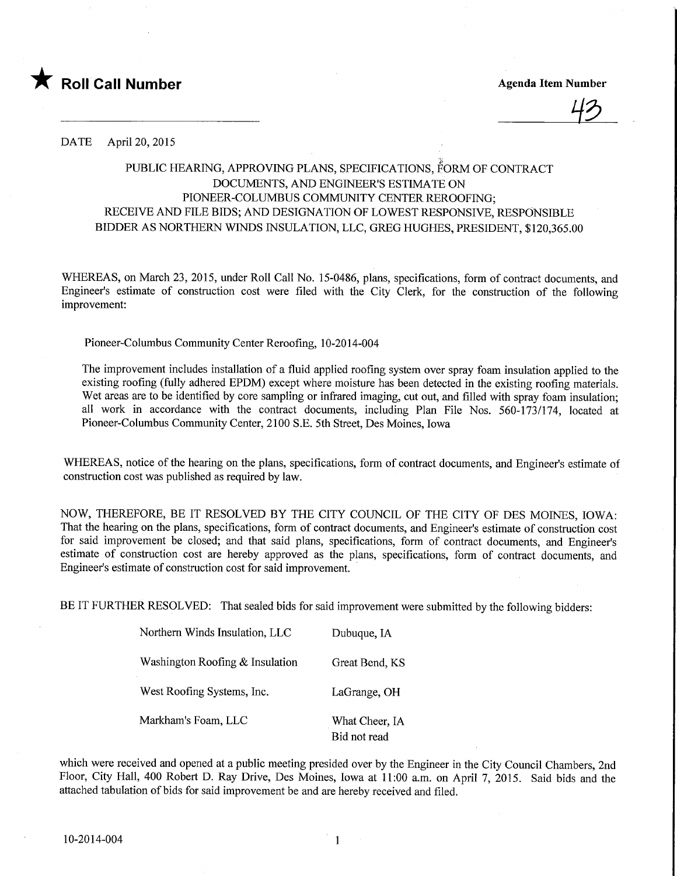

**Agenda Item Number** 

DATE April 20, 2015

## PUBLIC HEARING, APPROVING PLANS, SPECIFICATIONS, FORM OF CONTRACT DOCUMENTS, AND ENGINEER'S ESTIMATE ON PIONEER-COLUMBUS COMMUNITY CENTER REROOFING; RECEIVE AND FILE BIDS; AND DESIGNATION OF LOWEST RESPONSIVE, RESPONSIBLE BIDDER AS NORTHERN WINDS INSULATION, LLC, GREG HUGHES, PRESIDENT, \$120,365.00

WHEREAS, on March 23, 2015, under Roll Call No. 15-0486, plans, specifications, form of contract documents, and Engineer's estimate of construction cost were filed with the City Clerk, for the construction of the following improvement:

Pioneer-Columbus Community Center Reroofmg, 10-2014-004

The improvement includes installation of a fluid applied roofing system over spray foam insulation applied to the existing roofing (fully adhered EPDM) except where moisture has been detected in the existing roofing materials. Wet areas are to be identified by core sampling or infrared imaging, cut out, and filled with spray foam insulation; all work in accordance with the contract documents, including Plan File Nos. 560-173/174, located at Pioneer-Columbus Community Center, 2100 S.E. 5th Street, Des Moines, Iowa

WHEREAS, notice of the hearing on the plans, specifications, form of contract documents, and Engineer's estimate of construction cost was published as required by law.

NOW, THEREFORE, BE IT RESOLVED BY THE CITY COUNCIL OF THE CITY OF DES MOINES, IOWA: That the hearing on the plans, specifications, form of contract documents, and Engineer's estimate of construction cost for said improvement be closed; and that said plans, specifications, form of contract documents, and Engineer's estimate of construction cost are hereby approved as the plans, specifications, form of contract documents, and Engineer's estimate of construction cost for said improvement.

BE IT FURTHER RESOLVED: That sealed bids for said improvement were submitted by the following bidders:

| Northern Winds Insulation, LLC  | Dubuque, IA                    |
|---------------------------------|--------------------------------|
| Washington Roofing & Insulation | Great Bend, KS                 |
| West Roofing Systems, Inc.      | LaGrange, OH                   |
| Markham's Foam, LLC             | What Cheer, IA<br>Bid not read |

which were received and opened at a public meeting presided over by the Engineer in the City Council Chambers, 2nd Floor, City Hall, 400 Robert D. Ray Drive, Des Moines, Iowa at 11:00 a.m. on April 7, 2015. Said bids and the attached tabulation of bids for said improvement be and are hereby received and filed.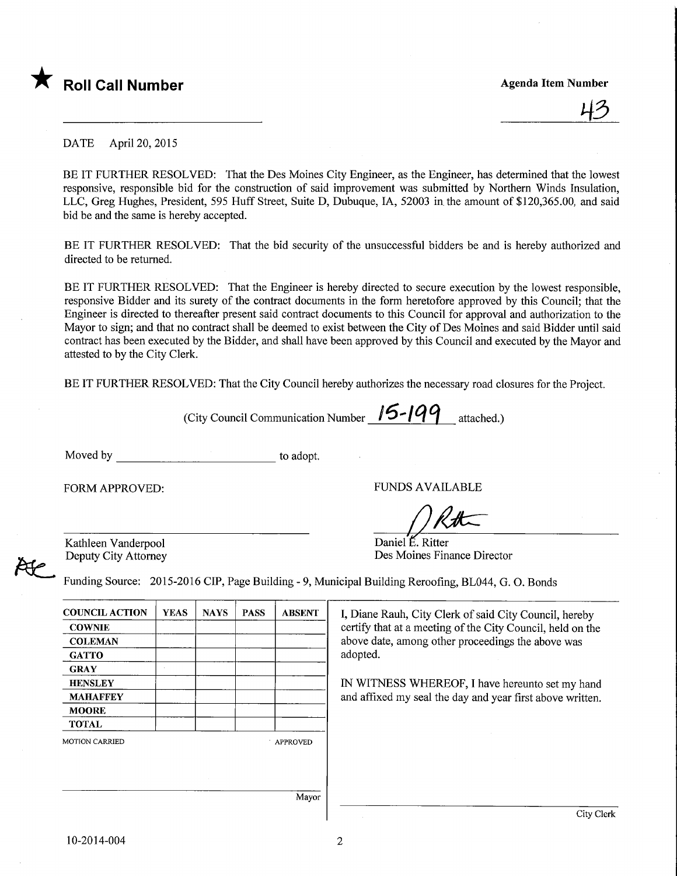

43

DATE April 20, 2015

BE IT FURTHER RESOLVED: That the Des Moines City Engineer, as the Engineer, has determined that the lowest responsive, responsible bid for the construction of said improvement was submitted by Northern Winds Insulation, LLC, Greg Hughes, President, 595 Huff Street, Suite D, Dubuque, IA, 52003 in the amount of \$120,365.00, and said bid be and the same is hereby accepted.

BE IT FURTHER RESOLVED: That the bid security of the unsuccessful bidders be and is hereby authorized and directed to be returned.

BE IT FURTHER RESOLVED: That the Engineer is hereby directed to secure execution by the lowest responsible, responsive Bidder and its surety of the contract documents in the form heretofore approved by this Council; that the Engineer is directed to thereafter present said contract documents to this Council for approval and authorization to the Mayor to sign; and that no contract shall be deemed to exist between the City of Des Moines and said Bidder until said contract has been executed by the Bidder, and shall have been approved by this Council and executed by the Mayor and attested to by the City Clerk.

BE IT FURTHER RESOLVED: That the City Council hereby authorizes the necessary road closures for the Project.

(City Council Communication Number  $15$ - $199$  attached.)

Moved by to adopt.

FORM APPROVED: THE PUNDS AVAILABLE

 $\bigcap R$ th

Kathleen Vanderpool Deputy City Attorney

Daniel €. Ritter Des Moines Finance Director

Funding Source: 2015-2016 CIP, Page Building - 9, Municipal Building Reroofing, BL044, G. O. Bonds

| <b>YEAS</b> | <b>NAYS</b> | <b>PASS</b> | <b>ABSENT</b> | I, Diane Rauh, City Clerk of said City Council, hereby     |
|-------------|-------------|-------------|---------------|------------------------------------------------------------|
|             |             |             |               | certify that at a meeting of the City Council, held on the |
|             |             |             |               | above date, among other proceedings the above was          |
|             |             |             |               | adopted.                                                   |
|             |             |             |               |                                                            |
|             |             |             |               | IN WITNESS WHEREOF, I have hereunto set my hand            |
|             |             |             |               | and affixed my seal the day and year first above written.  |
|             |             |             |               |                                                            |
|             |             |             |               |                                                            |
|             |             |             |               |                                                            |
|             |             |             |               |                                                            |
|             |             |             |               |                                                            |
|             |             |             | Mayor         |                                                            |
|             |             |             |               | APPROVED                                                   |